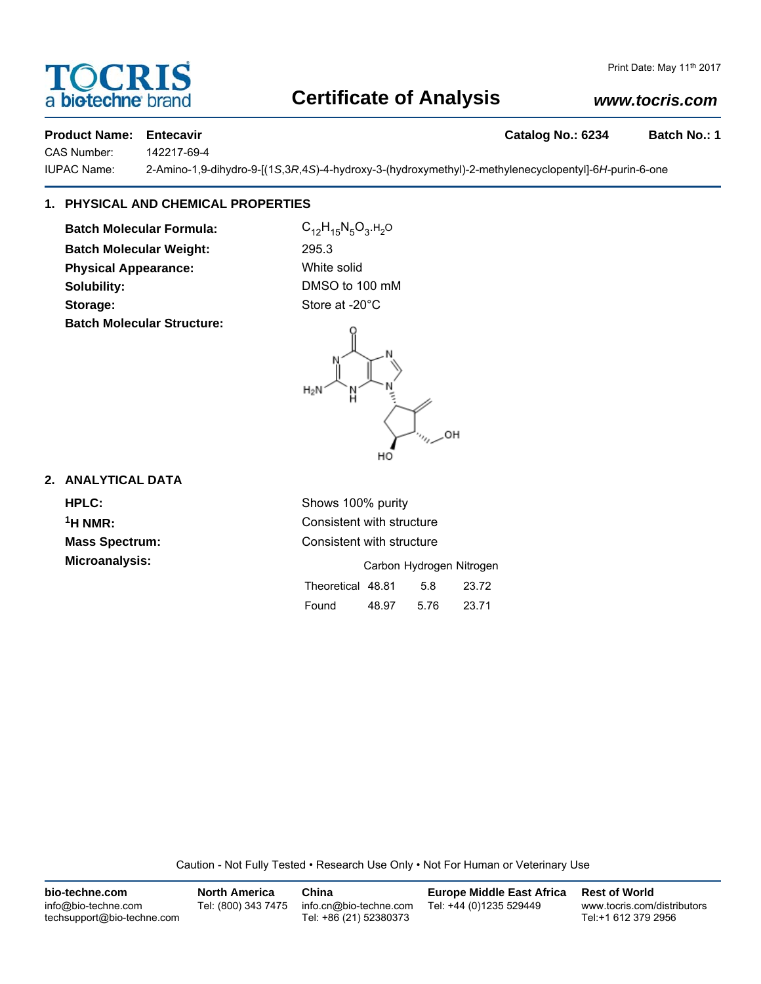# **Certificate of Analysis**

# Print Date: May 11<sup>th</sup> 2017 *www.tocris.com*

## **Product Name: Entecavir Catalog No.: 6234 Batch No.: 1**

a **biotechne** brand

CAS Number: 142217-69-4

IUPAC Name: 2-Amino-1,9-dihydro-9-[(1*S*,3*R*,4*S*)-4-hydroxy-3-(hydroxymethyl)-2-methylenecyclopentyl]-6*H*-purin-6-one

# **1. PHYSICAL AND CHEMICAL PROPERTIES**

**Batch Molecular Formula:** C<sub>12</sub>H<sub>15</sub>N<sub>5</sub>O<sub>3</sub>.H<sub>2</sub>O **Batch Molecular Weight:** 295.3 **Physical Appearance:** White solid **Solubility:** DMSO to 100 mM Storage: Storage: Store at -20°C **Batch Molecular Structure:**



### **2. ANALYTICAL DATA**

**HPLC:** Shows 100% purity **Microanalysis:** 

**1H NMR:** Consistent with structure **Mass Spectrum:** Consistent with structure

|                   |       | Carbon Hydrogen Nitrogen |       |
|-------------------|-------|--------------------------|-------|
| Theoretical 48.81 |       | 5.8                      | 23.72 |
| Found             | 48.97 | 5.76                     | 23.71 |

Caution - Not Fully Tested • Research Use Only • Not For Human or Veterinary Use

| bio-techne.com                                    | <b>North America</b> | China                                            | <b>Europe Middle East Africa</b> | <b>Rest of World</b>                               |
|---------------------------------------------------|----------------------|--------------------------------------------------|----------------------------------|----------------------------------------------------|
| info@bio-techne.com<br>techsupport@bio-techne.com | Tel: (800) 343 7475  | info.cn@bio-techne.com<br>Tel: +86 (21) 52380373 | Tel: +44 (0)1235 529449          | www.tocris.com/distributors<br>Tel:+1 612 379 2956 |